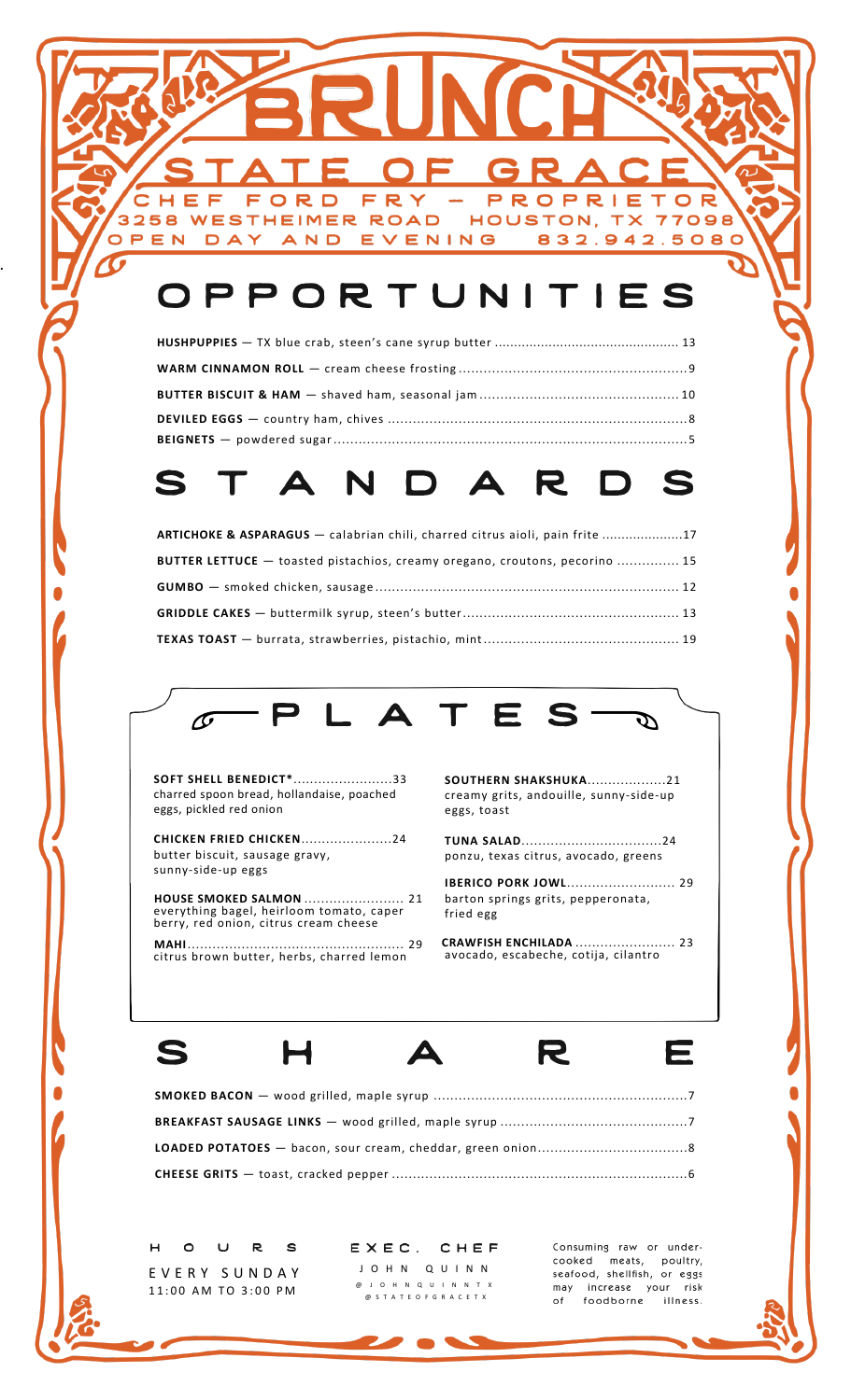# OPPORTUNITIES

EVENING

FRY

5  $\Box$ 

**WESTHEIMER ROAD** 

AND

F

DAY

3258

OPEN

### $\mathbf{S}$ R.  $\blacktriangle$

| <b>ARTICHOKE &amp; ASPARAGUS</b> — calabrian chili, charred citrus aioli, pain frite 17 |  |
|-----------------------------------------------------------------------------------------|--|
| <b>BUTTER LETTUCE</b> — toasted pistachios, creamy oregano, croutons, pecorino  15      |  |
|                                                                                         |  |
|                                                                                         |  |
|                                                                                         |  |



**SOFT SHELL BENEDICT\***........................33 charred spoon bread, hollandaise, poached eggs, pickled red onion

.

**CHICKEN FRIED CHICKEN**......................24 butter biscuit, sausage gravy, sunny-side-up eggs

 **HOUSE SMOKED SALMON** ........................ 21 everything bagel, heirloom tomato, caper berry, red onion, citrus cream cheese

 **MAHI** .................................................... 29 citrus brown butter, herbs, charred lemon

**SOUTHERN SHAKSHUKA**...................21 creamy grits, andouille, sunny-side-up eggs, toast

PROPRI

HOUSTON, TX

E

832.942.5080

 $\top$  $\overline{O}$ 

77098

**TUNA SALAD**..................................24 ponzu, texas citrus, avocado, greens

**IBERICO PORK JOWL**.......................... 29 barton springs grits, pepperonata, fried egg

 **CRAWFISH ENCHILADA** ........................ 23 avocado, escabeche, cotija, cilantro



R

E

**SMOKED BACON** — wood grilled, maple syrup .............................................................7 **BREAKFAST SAUSAGE LINKS** — wood grilled, maple syrup .............................................7 **LOADED POTATOES** — bacon, sour cream, cheddar, green onion....................................8 **CHEESE GRITS** — toast, cracked pepper .......................................................................6

 $H$  $\circ$  $\cup$ R S E V E R Y S U N D A Y 11:00 AM TO 3:00 PM

EXEC. CHEF J O H N Q U I N N @ J O H N Q U I N N T X @ S T A T E O F G R A C E T X

Consuming raw or undercooked meats, poultry, seafood, shellfish, or eggs increase your risk may of foodborne illness.